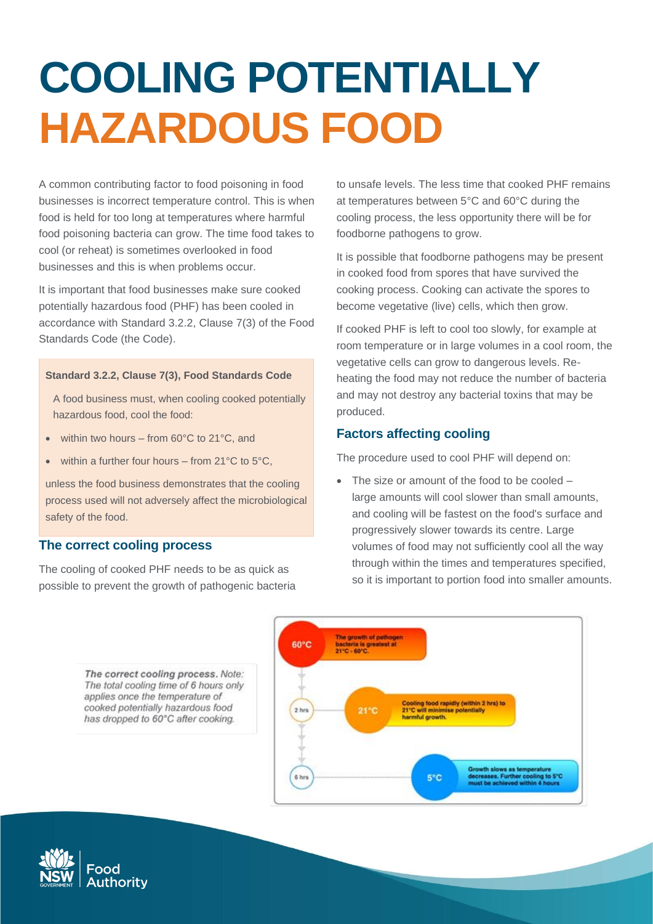# **COOLING POTENTIALLY HAZARDOUS FOOD**

A common contributing factor to food poisoning in food businesses is incorrect temperature control. This is when food is held for too long at temperatures where harmful food poisoning bacteria can grow. The time food takes to cool (or reheat) is sometimes overlooked in food businesses and this is when problems occur.

It is important that food businesses make sure cooked potentially hazardous food (PHF) has been cooled in accordance with Standard 3.2.2, Clause 7(3) of the Food Standards Code (the Code).

#### **Standard 3.2.2, Clause 7(3), Food Standards Code**

A food business must, when cooling cooked potentially hazardous food, cool the food:

- within two hours from 60°C to 21°C, and
- within a further four hours from  $21^{\circ}$ C to  $5^{\circ}$ C,

unless the food business demonstrates that the cooling process used will not adversely affect the microbiological safety of the food.

#### **The correct cooling process**

The cooling of cooked PHF needs to be as quick as possible to prevent the growth of pathogenic bacteria

to unsafe levels. The less time that cooked PHF remains at temperatures between 5°C and 60°C during the cooling process, the less opportunity there will be for foodborne pathogens to grow.

It is possible that foodborne pathogens may be present in cooked food from spores that have survived the cooking process. Cooking can activate the spores to become vegetative (live) cells, which then grow.

If cooked PHF is left to cool too slowly, for example at room temperature or in large volumes in a cool room, the vegetative cells can grow to dangerous levels. Reheating the food may not reduce the number of bacteria and may not destroy any bacterial toxins that may be produced.

### **Factors affecting cooling**

The procedure used to cool PHF will depend on:

• The size or amount of the food to be cooled – large amounts will cool slower than small amounts, and cooling will be fastest on the food's surface and progressively slower towards its centre. Large volumes of food may not sufficiently cool all the way through within the times and temperatures specified, so it is important to portion food into smaller amounts.





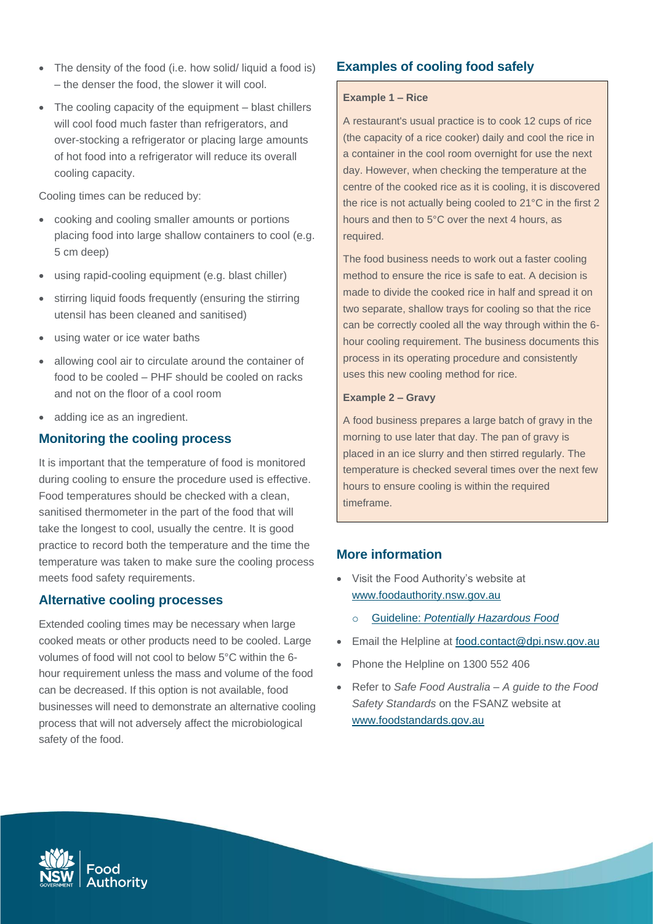- The density of the food (i.e. how solid/ liquid a food is) – the denser the food, the slower it will cool.
- The cooling capacity of the equipment blast chillers will cool food much faster than refrigerators, and over-stocking a refrigerator or placing large amounts of hot food into a refrigerator will reduce its overall cooling capacity.

Cooling times can be reduced by:

- cooking and cooling smaller amounts or portions placing food into large shallow containers to cool (e.g. 5 cm deep)
- using rapid-cooling equipment (e.g. blast chiller)
- stirring liquid foods frequently (ensuring the stirring utensil has been cleaned and sanitised)
- using water or ice water baths
- allowing cool air to circulate around the container of food to be cooled – PHF should be cooled on racks and not on the floor of a cool room
- adding ice as an ingredient.

## **Monitoring the cooling process**

It is important that the temperature of food is monitored during cooling to ensure the procedure used is effective. Food temperatures should be checked with a clean, sanitised thermometer in the part of the food that will take the longest to cool, usually the centre. It is good practice to record both the temperature and the time the temperature was taken to make sure the cooling process meets food safety requirements.

## **Alternative cooling processes**

Extended cooling times may be necessary when large cooked meats or other products need to be cooled. Large volumes of food will not cool to below 5°C within the 6 hour requirement unless the mass and volume of the food can be decreased. If this option is not available, food businesses will need to demonstrate an alternative cooling process that will not adversely affect the microbiological safety of the food.

# **Examples of cooling food safely**

#### **Example 1 – Rice**

A restaurant's usual practice is to cook 12 cups of rice (the capacity of a rice cooker) daily and cool the rice in a container in the cool room overnight for use the next day. However, when checking the temperature at the centre of the cooked rice as it is cooling, it is discovered the rice is not actually being cooled to 21°C in the first 2 hours and then to 5°C over the next 4 hours, as required.

The food business needs to work out a faster cooling method to ensure the rice is safe to eat. A decision is made to divide the cooked rice in half and spread it on two separate, shallow trays for cooling so that the rice can be correctly cooled all the way through within the 6 hour cooling requirement. The business documents this process in its operating procedure and consistently uses this new cooling method for rice.

#### **Example 2 – Gravy**

A food business prepares a large batch of gravy in the morning to use later that day. The pan of gravy is placed in an ice slurry and then stirred regularly. The temperature is checked several times over the next few hours to ensure cooling is within the required timeframe.

## **More information**

- Visit the Food Authority's website at [www.foodauthority.nsw.gov.au](http://www.foodauthority.nsw.gov.au/)
	- o Guideline: *[Potentially Hazardous Food](https://www.foodauthority.nsw.gov.au/sites/default/files/_Documents/scienceandtechnical/potentially-hazardous-foods.pdf)*
- Email the Helpline at [food.contact@dpi.nsw.gov.au](file://///safefood.lan/FILESERVER/CIE/Local%20Government%20Unit/FACTSHEETS/2020%20REVIEW%20PROJECT/food.contact@dpi.nsw.gov.au)
- Phone the Helpline on 1300 552 406
- Refer to *Safe Food Australia – A guide to the Food Safety Standards* on the FSANZ website at [www.foodstandards.gov.au](http://www.foodstandards.gov.au/)